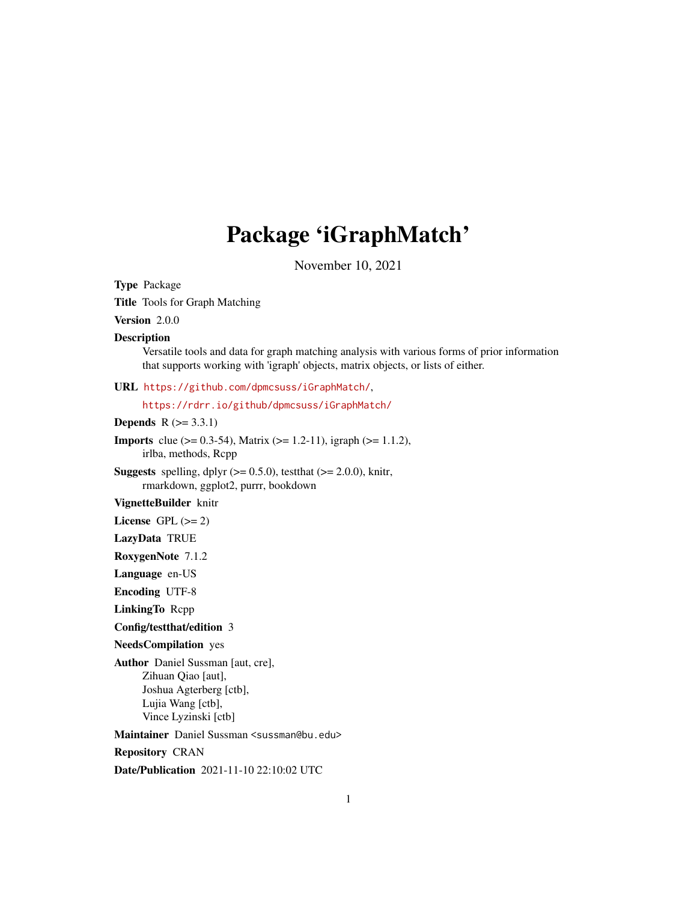## Package 'iGraphMatch'

November 10, 2021

<span id="page-0-0"></span>Type Package Title Tools for Graph Matching Version 2.0.0 Description Versatile tools and data for graph matching analysis with various forms of prior information that supports working with 'igraph' objects, matrix objects, or lists of either. URL <https://github.com/dpmcsuss/iGraphMatch/>, <https://rdrr.io/github/dpmcsuss/iGraphMatch/> **Depends**  $R$  ( $>= 3.3.1$ ) **Imports** clue ( $> = 0.3-54$ ), Matrix ( $>= 1.2-11$ ), igraph ( $>= 1.1.2$ ), irlba, methods, Rcpp **Suggests** spelling, dplyr  $(>= 0.5.0)$ , test that  $(>= 2.0.0)$ , knitr, rmarkdown, ggplot2, purrr, bookdown VignetteBuilder knitr License GPL  $(>= 2)$ LazyData TRUE RoxygenNote 7.1.2 Language en-US Encoding UTF-8 LinkingTo Rcpp Config/testthat/edition 3 NeedsCompilation yes Author Daniel Sussman [aut, cre], Zihuan Qiao [aut], Joshua Agterberg [ctb], Lujia Wang [ctb], Vince Lyzinski [ctb] Maintainer Daniel Sussman <sussman@bu.edu> Repository CRAN Date/Publication 2021-11-10 22:10:02 UTC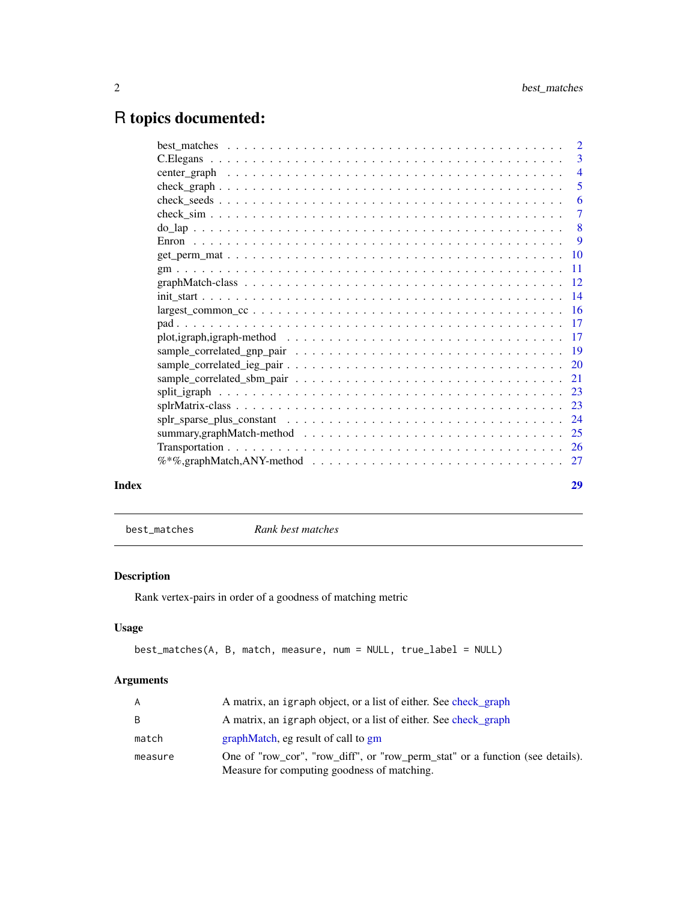## <span id="page-1-0"></span>R topics documented:

|       |                                                                                                                                   | $\overline{5}$ |
|-------|-----------------------------------------------------------------------------------------------------------------------------------|----------------|
|       |                                                                                                                                   | -6             |
|       |                                                                                                                                   |                |
|       |                                                                                                                                   |                |
|       |                                                                                                                                   |                |
|       |                                                                                                                                   |                |
|       |                                                                                                                                   |                |
|       |                                                                                                                                   |                |
|       |                                                                                                                                   |                |
|       | $largest\_common\_cc \dots \dots \dots \dots \dots \dots \dots \dots \dots \dots \dots \dots \dots \dots \dots \dots \dots \dots$ |                |
|       |                                                                                                                                   |                |
|       | plot, igraph, igraph-method $\ldots \ldots \ldots \ldots \ldots \ldots \ldots \ldots \ldots \ldots \ldots \ldots \ldots 17$       |                |
|       |                                                                                                                                   |                |
|       |                                                                                                                                   |                |
|       |                                                                                                                                   |                |
|       |                                                                                                                                   |                |
|       |                                                                                                                                   |                |
|       |                                                                                                                                   |                |
|       |                                                                                                                                   |                |
|       |                                                                                                                                   |                |
|       |                                                                                                                                   |                |
| Index |                                                                                                                                   | 29             |
|       |                                                                                                                                   |                |

best\_matches *Rank best matches*

## Description

Rank vertex-pairs in order of a goodness of matching metric

## Usage

```
best_matches(A, B, match, measure, num = NULL, true_label = NULL)
```
## Arguments

| A       | A matrix, an igraph object, or a list of either. See check graph                                                             |
|---------|------------------------------------------------------------------------------------------------------------------------------|
| B       | A matrix, an igraph object, or a list of either. See check graph                                                             |
| match   | graphMatch, eg result of call to gm                                                                                          |
| measure | One of "row_cor", "row_diff", or "row_perm_stat" or a function (see details).<br>Measure for computing goodness of matching. |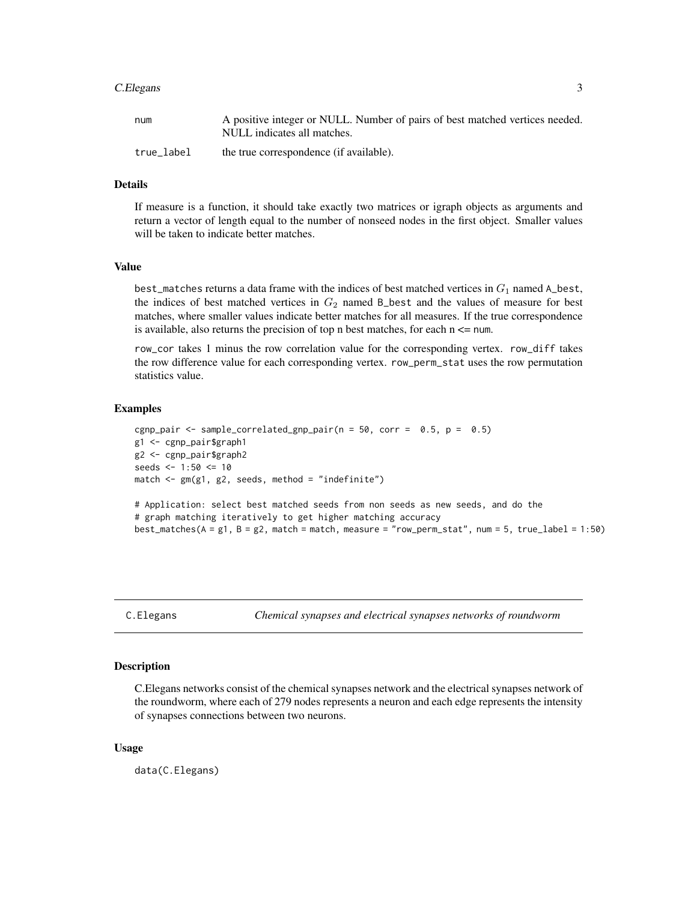#### <span id="page-2-0"></span>C.Elegans 3

| num        | A positive integer or NULL. Number of pairs of best matched vertices needed. |
|------------|------------------------------------------------------------------------------|
|            | NULL indicates all matches.                                                  |
| true label | the true correspondence (if available).                                      |

#### Details

If measure is a function, it should take exactly two matrices or igraph objects as arguments and return a vector of length equal to the number of nonseed nodes in the first object. Smaller values will be taken to indicate better matches.

#### Value

best\_matches returns a data frame with the indices of best matched vertices in  $G_1$  named A\_best, the indices of best matched vertices in  $G_2$  named B\_best and the values of measure for best matches, where smaller values indicate better matches for all measures. If the true correspondence is available, also returns the precision of top n best matches, for each  $n \le$  num.

row\_cor takes 1 minus the row correlation value for the corresponding vertex. row\_diff takes the row difference value for each corresponding vertex. row\_perm\_stat uses the row permutation statistics value.

#### Examples

```
cgnp_pair <- sample_correlated_gnp_pair(n = 50, corr = 0.5, p = 0.5)
g1 <- cgnp_pair$graph1
g2 <- cgnp_pair$graph2
seeds <- 1:50 <= 10
match \leq gm(g1, g2, seeds, method = "indefinite")
# Application: select best matched seeds from non seeds as new seeds, and do the
# graph matching iteratively to get higher matching accuracy
best\_matches(A = g1, B = g2, match = match, measure = "row\_perm\_stat", num = 5, true\_label = 1:50}
```
C.Elegans *Chemical synapses and electrical synapses networks of roundworm*

#### **Description**

C.Elegans networks consist of the chemical synapses network and the electrical synapses network of the roundworm, where each of 279 nodes represents a neuron and each edge represents the intensity of synapses connections between two neurons.

#### Usage

data(C.Elegans)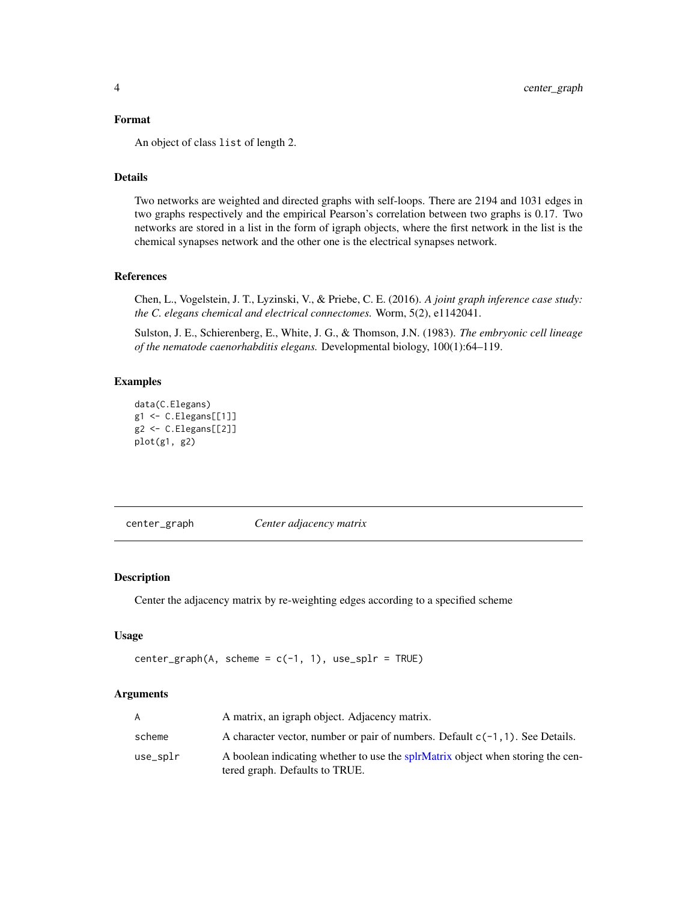#### <span id="page-3-0"></span>Format

An object of class list of length 2.

## Details

Two networks are weighted and directed graphs with self-loops. There are 2194 and 1031 edges in two graphs respectively and the empirical Pearson's correlation between two graphs is 0.17. Two networks are stored in a list in the form of igraph objects, where the first network in the list is the chemical synapses network and the other one is the electrical synapses network.

#### References

Chen, L., Vogelstein, J. T., Lyzinski, V., & Priebe, C. E. (2016). *A joint graph inference case study: the C. elegans chemical and electrical connectomes.* Worm, 5(2), e1142041.

Sulston, J. E., Schierenberg, E., White, J. G., & Thomson, J.N. (1983). *The embryonic cell lineage of the nematode caenorhabditis elegans.* Developmental biology, 100(1):64–119.

## Examples

```
data(C.Elegans)
g1 <- C.Elegans[[1]]
g2 <- C.Elegans[[2]]
plot(g1, g2)
```
center\_graph *Center adjacency matrix*

## Description

Center the adjacency matrix by re-weighting edges according to a specified scheme

## Usage

```
center_graph(A, scheme = c(-1, 1), use_splr = TRUE)
```
## Arguments

| A        | A matrix, an igraph object. Adjacency matrix.                                                                     |
|----------|-------------------------------------------------------------------------------------------------------------------|
| scheme   | A character vector, number or pair of numbers. Default $c(-1, 1)$ . See Details.                                  |
| use_splr | A boolean indicating whether to use the splrMatrix object when storing the cen-<br>tered graph. Defaults to TRUE. |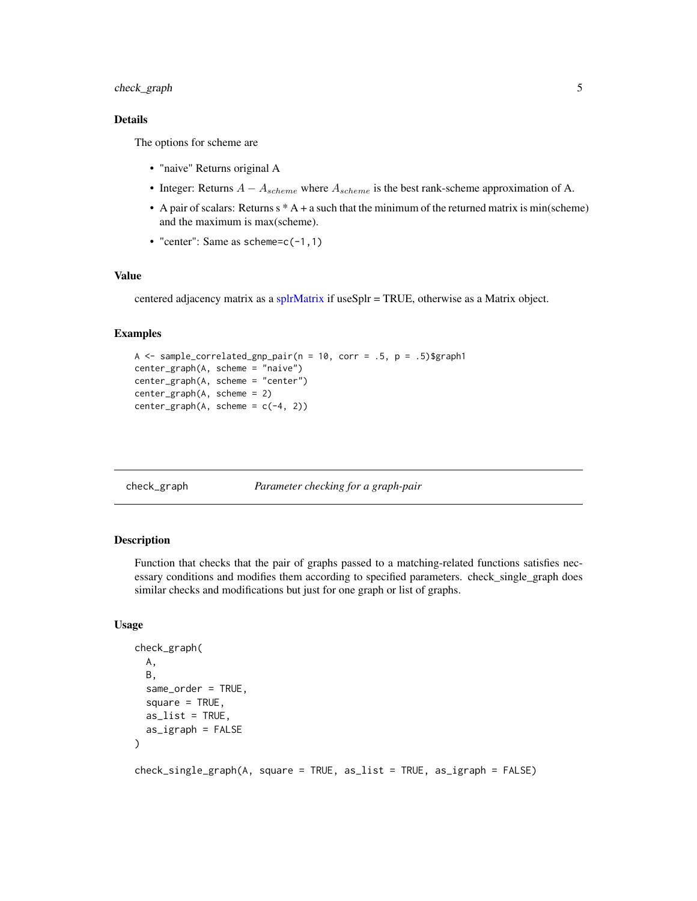## <span id="page-4-0"></span>check\_graph 5

## Details

The options for scheme are

- "naive" Returns original A
- Integer: Returns  $A A_{scheme}$  where  $A_{scheme}$  is the best rank-scheme approximation of A.
- A pair of scalars: Returns  $s * A + a$  such that the minimum of the returned matrix is min(scheme) and the maximum is max(scheme).
- "center": Same as scheme= $c(-1,1)$

## Value

centered adjacency matrix as a [splrMatrix](#page-0-0) if useSplr = TRUE, otherwise as a Matrix object.

#### Examples

```
A \le - sample_correlated_gnp_pair(n = 10, corr = .5, p = .5)$graph1
center_graph(A, scheme = "naive")
center_graph(A, scheme = "center")
center_graph(A, scheme = 2)
center_graph(A, scheme = c(-4, 2))
```
<span id="page-4-1"></span>check\_graph *Parameter checking for a graph-pair*

#### **Description**

Function that checks that the pair of graphs passed to a matching-related functions satisfies necessary conditions and modifies them according to specified parameters. check\_single\_graph does similar checks and modifications but just for one graph or list of graphs.

## Usage

```
check_graph(
 A,
 B,
  same_order = TRUE,
  square = TRUE,
  as\_list = TRUE,as_igraph = FALSE
)
check_single_graph(A, square = TRUE, as_list = TRUE, as_igraph = FALSE)
```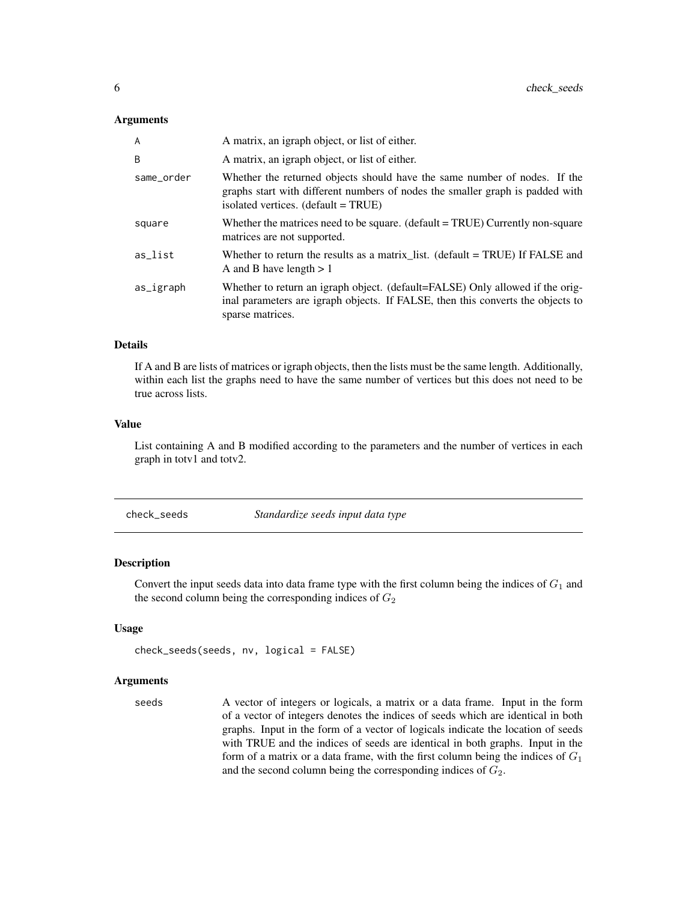#### <span id="page-5-0"></span>Arguments

| A          | A matrix, an igraph object, or list of either.                                                                                                                                                    |
|------------|---------------------------------------------------------------------------------------------------------------------------------------------------------------------------------------------------|
| B          | A matrix, an igraph object, or list of either.                                                                                                                                                    |
| same_order | Whether the returned objects should have the same number of nodes. If the<br>graphs start with different numbers of nodes the smaller graph is padded with<br>isolated vertices. (default = TRUE) |
| square     | Whether the matrices need to be square. (default $= TRUE$ ) Currently non-square<br>matrices are not supported.                                                                                   |
| as_list    | Whether to return the results as a matrix_list. (default = TRUE) If FALSE and<br>A and B have length $> 1$                                                                                        |
| as_igraph  | Whether to return an igraph object. (default=FALSE) Only allowed if the orig-<br>inal parameters are igraph objects. If FALSE, then this converts the objects to<br>sparse matrices.              |

## Details

If A and B are lists of matrices or igraph objects, then the lists must be the same length. Additionally, within each list the graphs need to have the same number of vertices but this does not need to be true across lists.

#### Value

List containing A and B modified according to the parameters and the number of vertices in each graph in totv1 and totv2.

<span id="page-5-1"></span>check\_seeds *Standardize seeds input data type*

## Description

Convert the input seeds data into data frame type with the first column being the indices of  $G_1$  and the second column being the corresponding indices of  $G_2$ 

#### Usage

```
check_seeds(seeds, nv, logical = FALSE)
```
#### Arguments

seeds A vector of integers or logicals, a matrix or a data frame. Input in the form of a vector of integers denotes the indices of seeds which are identical in both graphs. Input in the form of a vector of logicals indicate the location of seeds with TRUE and the indices of seeds are identical in both graphs. Input in the form of a matrix or a data frame, with the first column being the indices of  $G_1$ and the second column being the corresponding indices of  $G_2$ .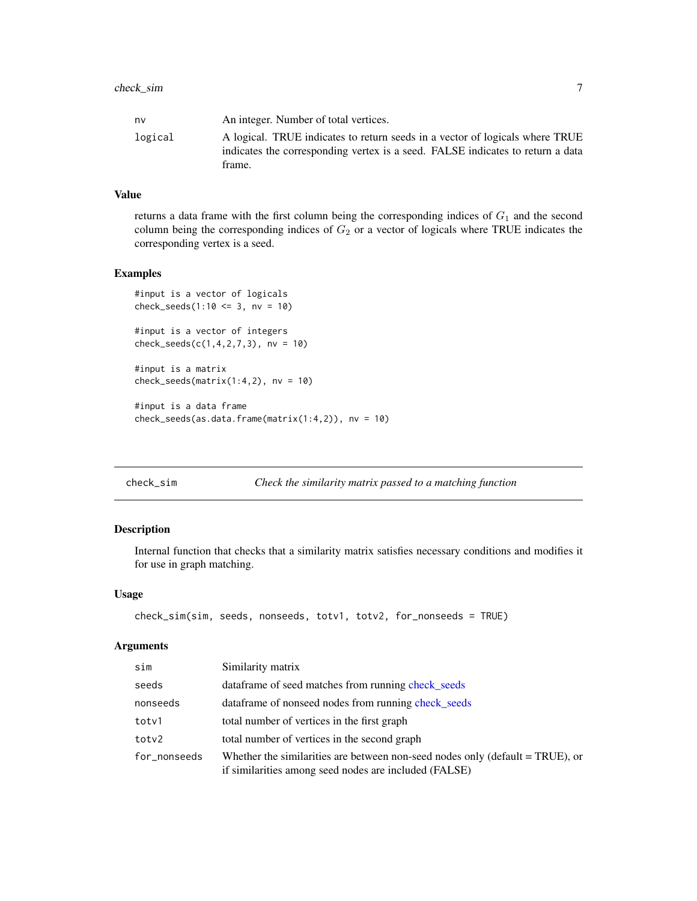<span id="page-6-0"></span>

| nv      | An integer. Number of total vertices.                                          |
|---------|--------------------------------------------------------------------------------|
| logical | A logical. TRUE indicates to return seeds in a vector of logicals where TRUE   |
|         | indicates the corresponding vertex is a seed. FALSE indicates to return a data |
|         | frame.                                                                         |

#### Value

returns a data frame with the first column being the corresponding indices of  $G_1$  and the second column being the corresponding indices of  $G_2$  or a vector of logicals where TRUE indicates the corresponding vertex is a seed.

#### Examples

```
#input is a vector of logicals
check_seeds(1:10 \leq 3, nv = 10)
```

```
#input is a vector of integers
check_seeds(c(1,4,2,7,3), nv = 10)
```
#input is a matrix  $check_s = des(matrix(1:4,2), nv = 10)$ 

#input is a data frame check\_seeds(as.data.frame(matrix(1:4,2)), nv = 10)

```
check_sim Check the similarity matrix passed to a matching function
```
#### Description

Internal function that checks that a similarity matrix satisfies necessary conditions and modifies it for use in graph matching.

#### Usage

```
check_sim(sim, seeds, nonseeds, totv1, totv2, for_nonseeds = TRUE)
```
#### Arguments

| sim          | Similarity matrix                                                                                                                         |
|--------------|-------------------------------------------------------------------------------------------------------------------------------------------|
| seeds        | data frame of seed matches from running check_seeds                                                                                       |
| nonseeds     | data frame of nonseed nodes from running check_seeds                                                                                      |
| totv1        | total number of vertices in the first graph                                                                                               |
| toty2        | total number of vertices in the second graph                                                                                              |
| for_nonseeds | Whether the similarities are between non-seed nodes only (default $= TRUE$ ), or<br>if similarities among seed nodes are included (FALSE) |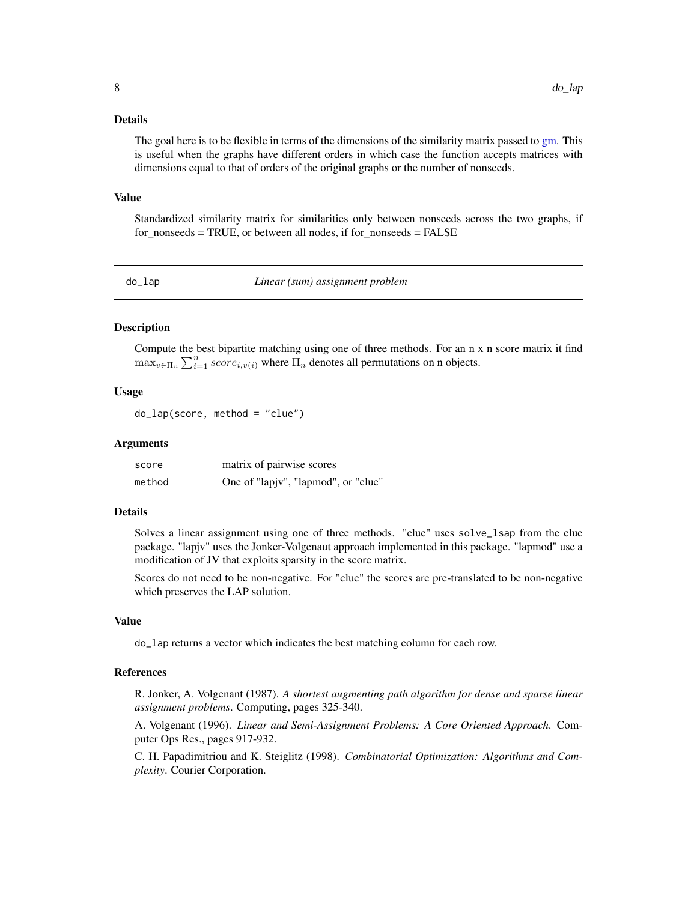#### <span id="page-7-0"></span>Details

The goal here is to be flexible in terms of the dimensions of the similarity matrix passed to [gm.](#page-10-1) This is useful when the graphs have different orders in which case the function accepts matrices with dimensions equal to that of orders of the original graphs or the number of nonseeds.

#### Value

Standardized similarity matrix for similarities only between nonseeds across the two graphs, if for nonseeds = TRUE, or between all nodes, if for nonseeds = FALSE

do\_lap *Linear (sum) assignment problem*

## **Description**

Compute the best bipartite matching using one of three methods. For an n x n score matrix it find  $\max_{v \in \Pi_n} \sum_{i=1}^n score_{i,v(i)}$  where  $\Pi_n$  denotes all permutations on n objects.

## Usage

do\_lap(score, method = "clue")

#### Arguments

| score  | matrix of pairwise scores           |
|--------|-------------------------------------|
| method | One of "lapjv", "lapmod", or "clue" |

#### Details

Solves a linear assignment using one of three methods. "clue" uses solve\_lsap from the clue package. "lapjv" uses the Jonker-Volgenaut approach implemented in this package. "lapmod" use a modification of JV that exploits sparsity in the score matrix.

Scores do not need to be non-negative. For "clue" the scores are pre-translated to be non-negative which preserves the LAP solution.

#### Value

do\_lap returns a vector which indicates the best matching column for each row.

## References

R. Jonker, A. Volgenant (1987). *A shortest augmenting path algorithm for dense and sparse linear assignment problems*. Computing, pages 325-340.

A. Volgenant (1996). *Linear and Semi-Assignment Problems: A Core Oriented Approach*. Computer Ops Res., pages 917-932.

C. H. Papadimitriou and K. Steiglitz (1998). *Combinatorial Optimization: Algorithms and Complexity*. Courier Corporation.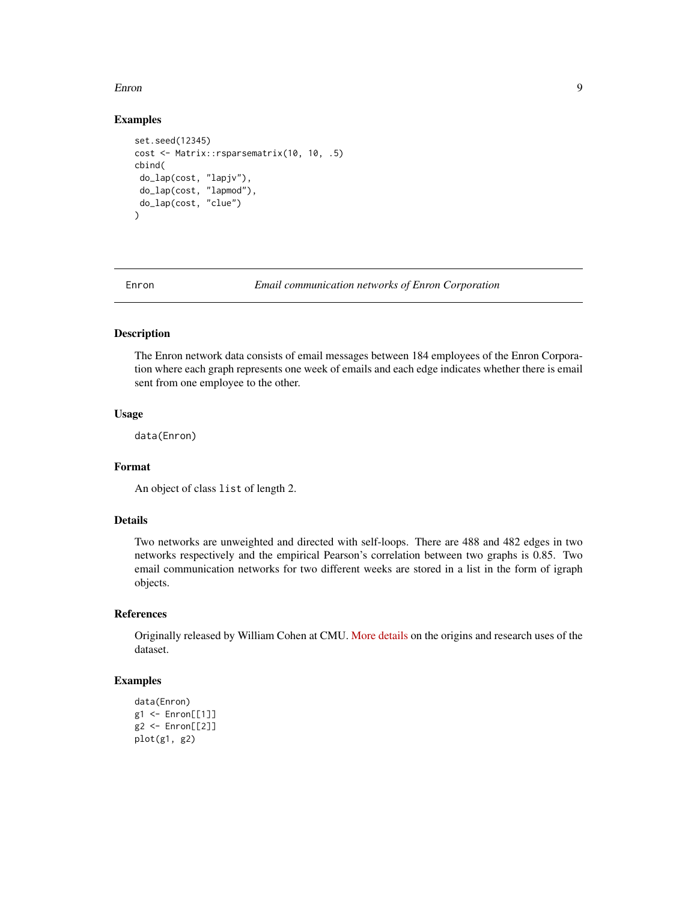#### <span id="page-8-0"></span>Enron 9

#### Examples

```
set.seed(12345)
cost <- Matrix::rsparsematrix(10, 10, .5)
cbind(
do_lap(cost, "lapjv"),
 do_lap(cost, "lapmod"),
do_lap(cost, "clue")
\lambda
```
Enron *Email communication networks of Enron Corporation*

#### Description

The Enron network data consists of email messages between 184 employees of the Enron Corporation where each graph represents one week of emails and each edge indicates whether there is email sent from one employee to the other.

#### Usage

data(Enron)

#### Format

```
An object of class list of length 2.
```
## Details

Two networks are unweighted and directed with self-loops. There are 488 and 482 edges in two networks respectively and the empirical Pearson's correlation between two graphs is 0.85. Two email communication networks for two different weeks are stored in a list in the form of igraph objects.

## References

Originally released by William Cohen at CMU. [More details](http://www.cs.cmu.edu/~enron/) on the origins and research uses of the dataset.

```
data(Enron)
g1 <- Enron[[1]]
g2 <- Enron[[2]]
plot(g1, g2)
```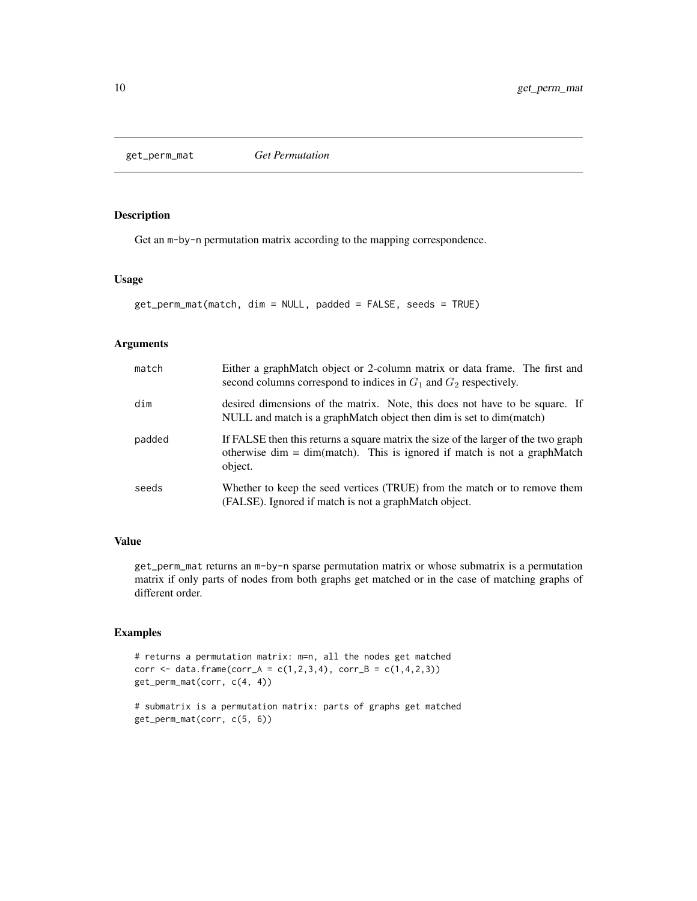<span id="page-9-0"></span>get\_perm\_mat *Get Permutation*

## Description

Get an m-by-n permutation matrix according to the mapping correspondence.

#### Usage

```
get_perm_mat(match, dim = NULL, padded = FALSE, seeds = TRUE)
```
## Arguments

| match  | Either a graphMatch object or 2-column matrix or data frame. The first and<br>second columns correspond to indices in $G_1$ and $G_2$ respectively.                         |
|--------|-----------------------------------------------------------------------------------------------------------------------------------------------------------------------------|
| dim    | desired dimensions of the matrix. Note, this does not have to be square. If<br>NULL and match is a graphMatch object then dim is set to dim(match)                          |
| padded | If FALSE then this returns a square matrix the size of the larger of the two graph<br>otherwise dim $=$ dim(match). This is ignored if match is not a graphMatch<br>object. |
| seeds  | Whether to keep the seed vertices (TRUE) from the match or to remove them<br>(FALSE). Ignored if match is not a graphMatch object.                                          |

## Value

get\_perm\_mat returns an m-by-n sparse permutation matrix or whose submatrix is a permutation matrix if only parts of nodes from both graphs get matched or in the case of matching graphs of different order.

## Examples

# returns a permutation matrix: m=n, all the nodes get matched corr <- data.frame(corr\_A = c(1,2,3,4), corr\_B = c(1,4,2,3)) get\_perm\_mat(corr, c(4, 4))

# submatrix is a permutation matrix: parts of graphs get matched get\_perm\_mat(corr, c(5, 6))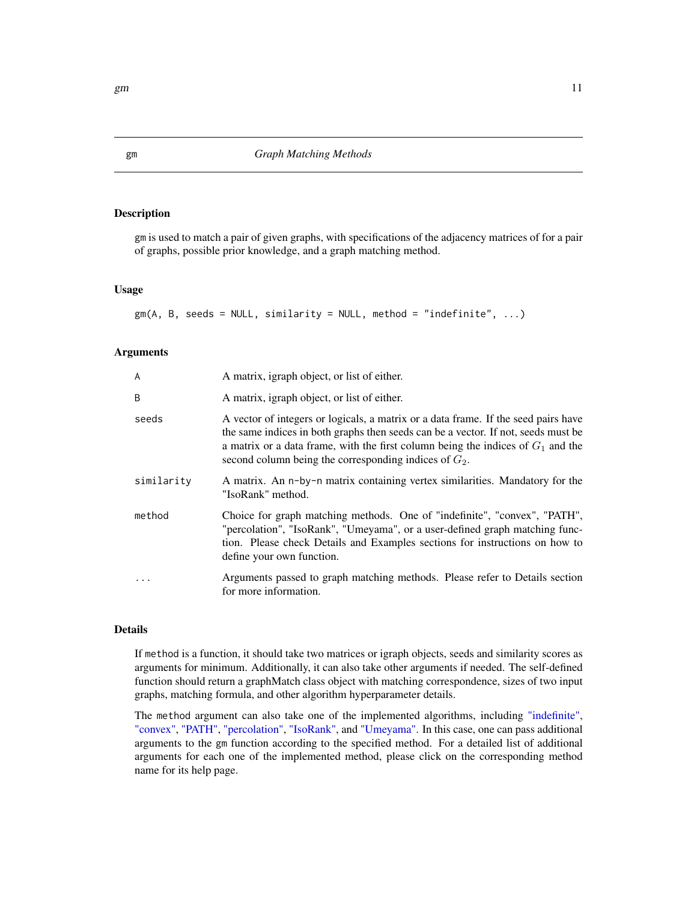## Description

gm is used to match a pair of given graphs, with specifications of the adjacency matrices of for a pair of graphs, possible prior knowledge, and a graph matching method.

#### Usage

 $gm(A, B, seeds = NULL, similarity = NULL, method = "indefinite", ...)$ 

#### Arguments

| A          | A matrix, igraph object, or list of either.                                                                                                                                                                                                                                                                               |
|------------|---------------------------------------------------------------------------------------------------------------------------------------------------------------------------------------------------------------------------------------------------------------------------------------------------------------------------|
| B          | A matrix, igraph object, or list of either.                                                                                                                                                                                                                                                                               |
| seeds      | A vector of integers or logicals, a matrix or a data frame. If the seed pairs have<br>the same indices in both graphs then seeds can be a vector. If not, seeds must be<br>a matrix or a data frame, with the first column being the indices of $G_1$ and the<br>second column being the corresponding indices of $G_2$ . |
| similaritv | A matrix. An n-by-n matrix containing vertex similarities. Mandatory for the<br>"IsoRank" method.                                                                                                                                                                                                                         |
| method     | Choice for graph matching methods. One of "indefinite", "convex", "PATH",<br>"percolation", "IsoRank", "Umeyama", or a user-defined graph matching func-<br>tion. Please check Details and Examples sections for instructions on how to<br>define your own function.                                                      |
| $\ddots$   | Arguments passed to graph matching methods. Please refer to Details section<br>for more information.                                                                                                                                                                                                                      |

## Details

If method is a function, it should take two matrices or igraph objects, seeds and similarity scores as arguments for minimum. Additionally, it can also take other arguments if needed. The self-defined function should return a graphMatch class object with matching correspondence, sizes of two input graphs, matching formula, and other algorithm hyperparameter details.

The method argument can also take one of the implemented algorithms, including ["indefinite",](#page-0-0) ["convex",](#page-0-0) ["PATH",](#page-0-0) ["percolation",](#page-0-0) ["IsoRank",](#page-0-0) and ["Umeyama".](#page-0-0) In this case, one can pass additional arguments to the gm function according to the specified method. For a detailed list of additional arguments for each one of the implemented method, please click on the corresponding method name for its help page.

<span id="page-10-1"></span><span id="page-10-0"></span>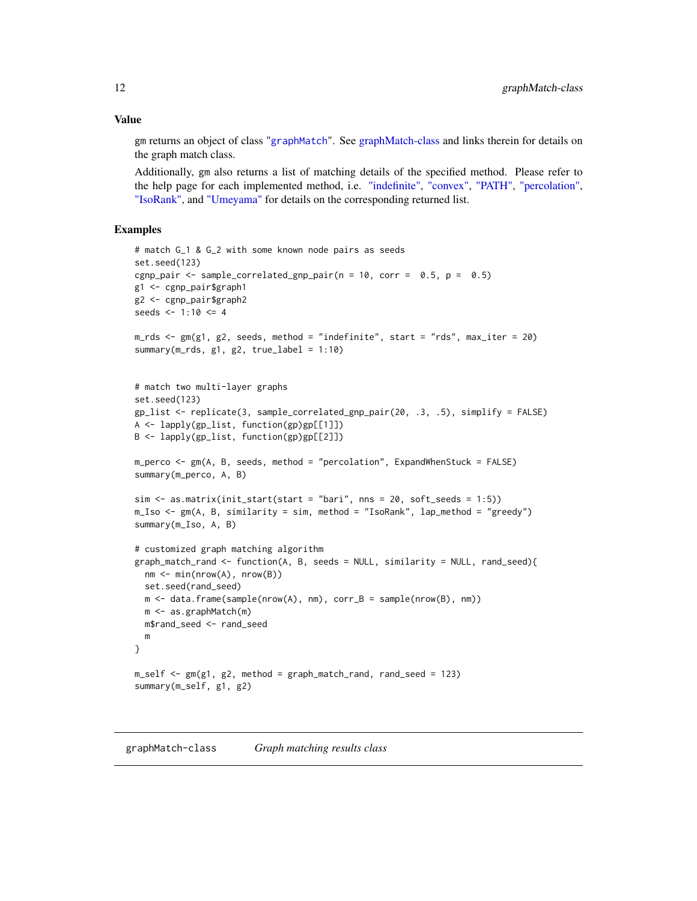#### <span id="page-11-0"></span>Value

gm returns an object of class "[graphMatch](#page-11-1)". See [graphMatch-class](#page-11-2) and links therein for details on the graph match class.

Additionally, gm also returns a list of matching details of the specified method. Please refer to the help page for each implemented method, i.e. ["indefinite",](#page-0-0) ["convex",](#page-0-0) ["PATH",](#page-0-0) ["percolation",](#page-0-0) ["IsoRank",](#page-0-0) and ["Umeyama"](#page-0-0) for details on the corresponding returned list.

## Examples

```
# match G_1 & G_2 with some known node pairs as seeds
set.seed(123)
cgnp_pair <- sample_correlated_gnp_pair(n = 10, corr = 0.5, p = 0.5)
g1 <- cgnp_pair$graph1
g2 <- cgnp_pair$graph2
seeds <-1:10 \leq 4m_rds <- gm(g1, g2, seeds, method = "indefinite", start = "rds", max_iter = 20)
summary(m_rds, g1, g2, true_label = 1:10)
# match two multi-layer graphs
set.seed(123)
gp_list <- replicate(3, sample_correlated_gnp_pair(20, .3, .5), simplify = FALSE)
A <- lapply(gp_list, function(gp)gp[[1]])
B <- lapply(gp_list, function(gp)gp[[2]])
m_perco <- gm(A, B, seeds, method = "percolation", ExpandWhenStuck = FALSE)
summary(m_perco, A, B)
sim <- as.matrix(init_start(start = "bari", nns = 20, soft_seeds = 1:5))
m_Iso <- gm(A, B, similarity = sim, method = "IsoRank", lap_method = "greedy")
summary(m_Iso, A, B)
# customized graph matching algorithm
graph\_match\_rand \leq function(A, B, seeds = NULL, similarity = NULL, rand\_seed)nm <- min(nrow(A), nrow(B))
 set.seed(rand_seed)
 m \leq - data.frame(sample(nrow(A), nm), corr_B = sample(nrow(B), nm))
 m <- as.graphMatch(m)
 m$rand_seed <- rand_seed
 m
}
m_self <- gm(g1, g2, method = graph_match_rand, rand_seed = 123)
summary(m_self, g1, g2)
```
<span id="page-11-2"></span><span id="page-11-1"></span>graphMatch-class *Graph matching results class*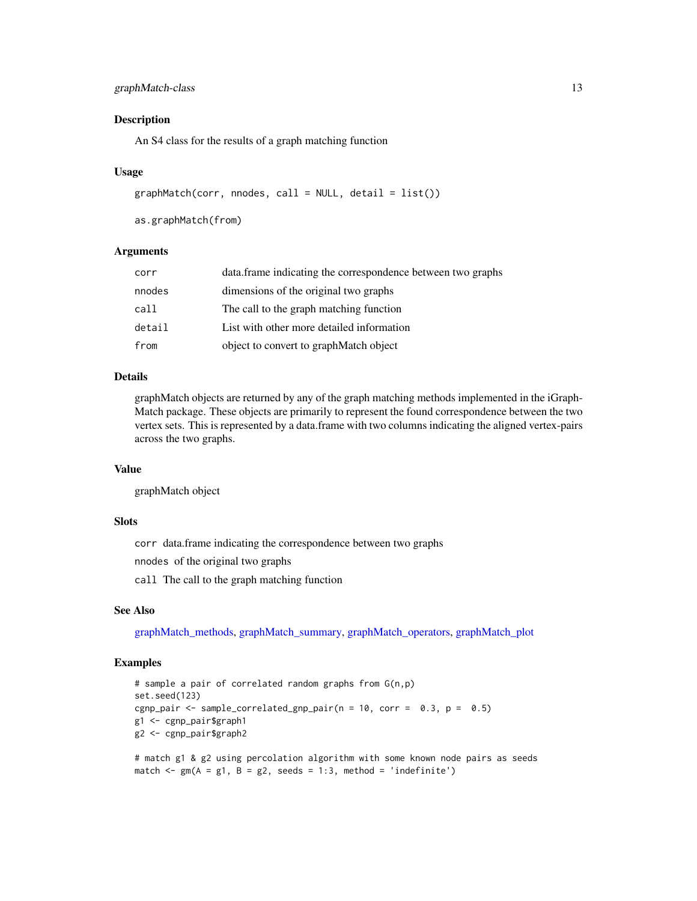## <span id="page-12-0"></span>graphMatch-class 13

#### Description

An S4 class for the results of a graph matching function

#### Usage

```
graphMatch(corr, modes, call = NULL, detail = list())
```
as.graphMatch(from)

#### Arguments

| corr   | data.frame indicating the correspondence between two graphs |
|--------|-------------------------------------------------------------|
| nnodes | dimensions of the original two graphs                       |
| call   | The call to the graph matching function                     |
| detail | List with other more detailed information                   |
| from   | object to convert to graphMatch object                      |

## Details

graphMatch objects are returned by any of the graph matching methods implemented in the iGraph-Match package. These objects are primarily to represent the found correspondence between the two vertex sets. This is represented by a data.frame with two columns indicating the aligned vertex-pairs across the two graphs.

## Value

graphMatch object

#### **Slots**

corr data.frame indicating the correspondence between two graphs

nnodes of the original two graphs

call The call to the graph matching function

## See Also

[graphMatch\\_methods,](#page-0-0) [graphMatch\\_summary,](#page-0-0) [graphMatch\\_operators,](#page-0-0) [graphMatch\\_plot](#page-0-0)

```
# sample a pair of correlated random graphs from G(n,p)
set.seed(123)
cgnp_pair <- sample_correlated_gnp_pair(n = 10, corr = 0.3, p = 0.5)
g1 <- cgnp_pair$graph1
g2 <- cgnp_pair$graph2
```

```
# match g1 & g2 using percolation algorithm with some known node pairs as seeds
match \leq gm(A = g1, B = g2, seeds = 1:3, method = 'indefinite')
```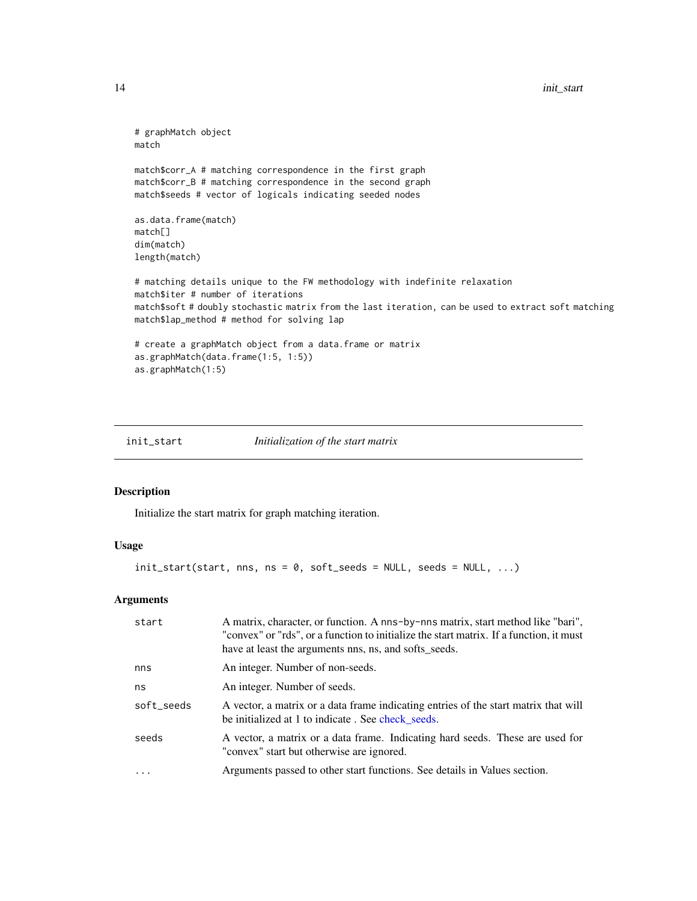```
# graphMatch object
match
match$corr_A # matching correspondence in the first graph
match$corr_B # matching correspondence in the second graph
match$seeds # vector of logicals indicating seeded nodes
as.data.frame(match)
match[]
dim(match)
length(match)
# matching details unique to the FW methodology with indefinite relaxation
match$iter # number of iterations
match$soft # doubly stochastic matrix from the last iteration, can be used to extract soft matching
match$lap_method # method for solving lap
# create a graphMatch object from a data.frame or matrix
as.graphMatch(data.frame(1:5, 1:5))
as.graphMatch(1:5)
```
init\_start *Initialization of the start matrix*

## Description

Initialize the start matrix for graph matching iteration.

#### Usage

 $init\_start(start, ms, ns = 0, soft\_seeds = NULL, seeds = NULL, ...)$ 

## Arguments

| start      | A matrix, character, or function. A nns-by-nns matrix, start method like "bari",<br>"convex" or "rds", or a function to initialize the start matrix. If a function, it must<br>have at least the arguments nns, ns, and softs_seeds. |
|------------|--------------------------------------------------------------------------------------------------------------------------------------------------------------------------------------------------------------------------------------|
| nns        | An integer. Number of non-seeds.                                                                                                                                                                                                     |
| ns         | An integer. Number of seeds.                                                                                                                                                                                                         |
| soft_seeds | A vector, a matrix or a data frame indicating entries of the start matrix that will<br>be initialized at 1 to indicate. See check_seeds.                                                                                             |
| seeds      | A vector, a matrix or a data frame. Indicating hard seeds. These are used for<br>"convex" start but otherwise are ignored.                                                                                                           |
|            | Arguments passed to other start functions. See details in Values section.                                                                                                                                                            |

<span id="page-13-0"></span>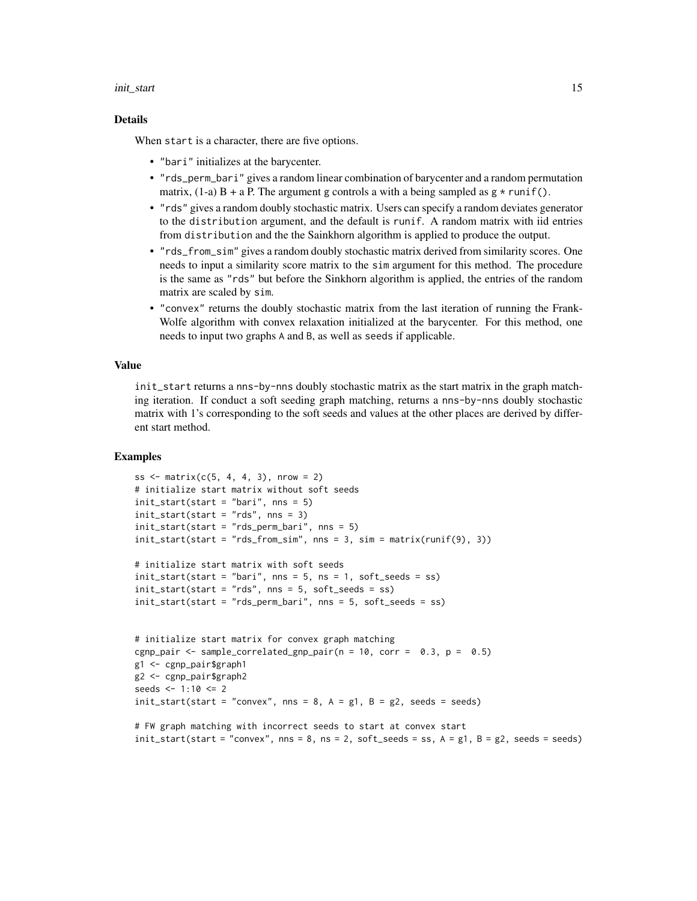#### init\_start 15

#### Details

When start is a character, there are five options.

- "bari" initializes at the barycenter.
- "rds\_perm\_bari" gives a random linear combination of barycenter and a random permutation matrix,  $(1-a)$  B + a P. The argument g controls a with a being sampled as  $g \star runif()$ .
- "rds" gives a random doubly stochastic matrix. Users can specify a random deviates generator to the distribution argument, and the default is runif. A random matrix with iid entries from distribution and the the Sainkhorn algorithm is applied to produce the output.
- "rds\_from\_sim" gives a random doubly stochastic matrix derived from similarity scores. One needs to input a similarity score matrix to the sim argument for this method. The procedure is the same as "rds" but before the Sinkhorn algorithm is applied, the entries of the random matrix are scaled by sim.
- "convex" returns the doubly stochastic matrix from the last iteration of running the Frank-Wolfe algorithm with convex relaxation initialized at the barycenter. For this method, one needs to input two graphs A and B, as well as seeds if applicable.

#### Value

init\_start returns a nns-by-nns doubly stochastic matrix as the start matrix in the graph matching iteration. If conduct a soft seeding graph matching, returns a nns-by-nns doubly stochastic matrix with 1's corresponding to the soft seeds and values at the other places are derived by different start method.

```
ss \le matrix(c(5, 4, 4, 3), nrow = 2)
# initialize start matrix without soft seeds
init\_start(start = "bari", nns = 5)init_start(start = "rds", nns = 3)init_start(start = "rds_perm_bari", nns = 5)
init{\_}start(start = "rds{\_}from{\_}sim", nns = 3, sim = matrix(runif(9), 3))# initialize start matrix with soft seeds
init\_start(start = "bari", ms = 5, ns = 1, soft\_seeds = ss)init_start(start = "rds", nns = 5, soft_seeds = ss)
init_start(start = "rds_perm_bari", nns = 5, soft_seeds = ss)
# initialize start matrix for convex graph matching
cgnp_pair <- sample_correlated_gnp_pair(n = 10, corr = 0.3, p = 0.5)
g1 <- cgnp_pair$graph1
g2 <- cgnp_pair$graph2
seeds <- 1:10 <= 2
init\_start(start = "convex", nns = 8, A = g1, B = g2, seeds = seeds)
```

```
# FW graph matching with incorrect seeds to start at convex start
init\_start(start = "convex", nns = 8, ns = 2, soft\_seeds = ss, A = g1, B = g2, seeds = seeds)
```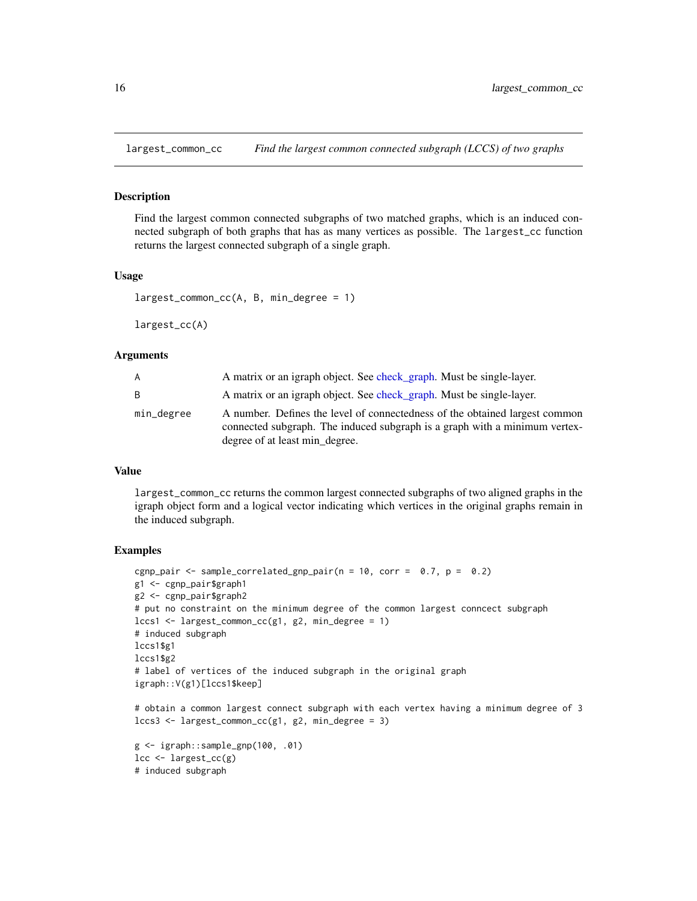<span id="page-15-0"></span>

#### **Description**

Find the largest common connected subgraphs of two matched graphs, which is an induced connected subgraph of both graphs that has as many vertices as possible. The largest\_cc function returns the largest connected subgraph of a single graph.

#### Usage

```
largest_common_cc(A, B, min_degree = 1)
```
largest\_cc(A)

## Arguments

| A          | A matrix or an igraph object. See check_graph. Must be single-layer.                                                                                                                        |
|------------|---------------------------------------------------------------------------------------------------------------------------------------------------------------------------------------------|
| B          | A matrix or an igraph object. See check_graph. Must be single-layer.                                                                                                                        |
| min_degree | A number. Defines the level of connectedness of the obtained largest common<br>connected subgraph. The induced subgraph is a graph with a minimum vertex-<br>degree of at least min_degree. |

#### Value

largest\_common\_cc returns the common largest connected subgraphs of two aligned graphs in the igraph object form and a logical vector indicating which vertices in the original graphs remain in the induced subgraph.

```
cgnp_pair <- sample_correlated_gnp_pair(n = 10, corr = 0.7, p = 0.2)
g1 <- cgnp_pair$graph1
g2 <- cgnp_pair$graph2
# put no constraint on the minimum degree of the common largest conncect subgraph
lccs1 < - largest_common_cc(g1, g2, min_degree = 1)
# induced subgraph
lccs1$g1
lccs1$g2
# label of vertices of the induced subgraph in the original graph
igraph::V(g1)[lccs1$keep]
# obtain a common largest connect subgraph with each vertex having a minimum degree of 3
lccs3 \leq 1argest_common_cc(g1, g2, min_degree = 3)
g <- igraph::sample_gnp(100, .01)
lcc \leftarrow \text{largest\_cc(g)}# induced subgraph
```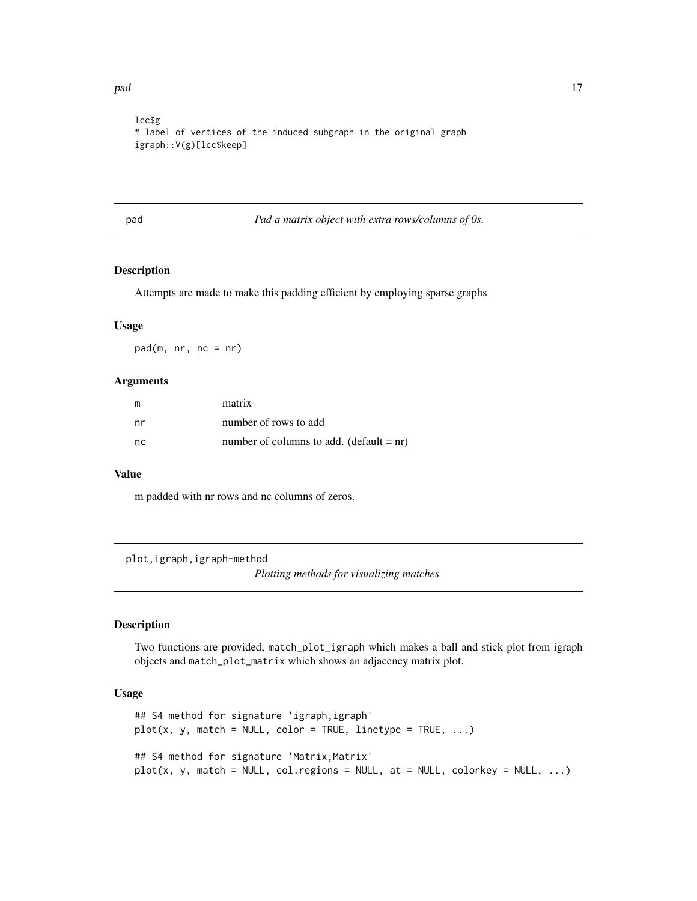<span id="page-16-0"></span>pad the contract of the contract of the contract of the contract of the contract of the contract of the contract of the contract of the contract of the contract of the contract of the contract of the contract of the contra

```
lcc$g
# label of vertices of the induced subgraph in the original graph
igraph::V(g)[lcc$keep]
```
pad *Pad a matrix object with extra rows/columns of 0s.*

## Description

Attempts are made to make this padding efficient by employing sparse graphs

## Usage

 $pad(m, nr, nc = nr)$ 

#### Arguments

| m   | matrix                                     |
|-----|--------------------------------------------|
| nr  | number of rows to add                      |
| nc. | number of columns to add. (default $=$ nr) |

## Value

m padded with nr rows and nc columns of zeros.

plot,igraph,igraph-method

*Plotting methods for visualizing matches*

## Description

Two functions are provided, match\_plot\_igraph which makes a ball and stick plot from igraph objects and match\_plot\_matrix which shows an adjacency matrix plot.

#### Usage

```
## S4 method for signature 'igraph,igraph'
plot(x, y, match = NULL, color = TRUE, linetype = TRUE, ...)## S4 method for signature 'Matrix, Matrix'
plot(x, y, match = NULL, col. regions = NULL, at = NULL, colorkey = NULL, ...)
```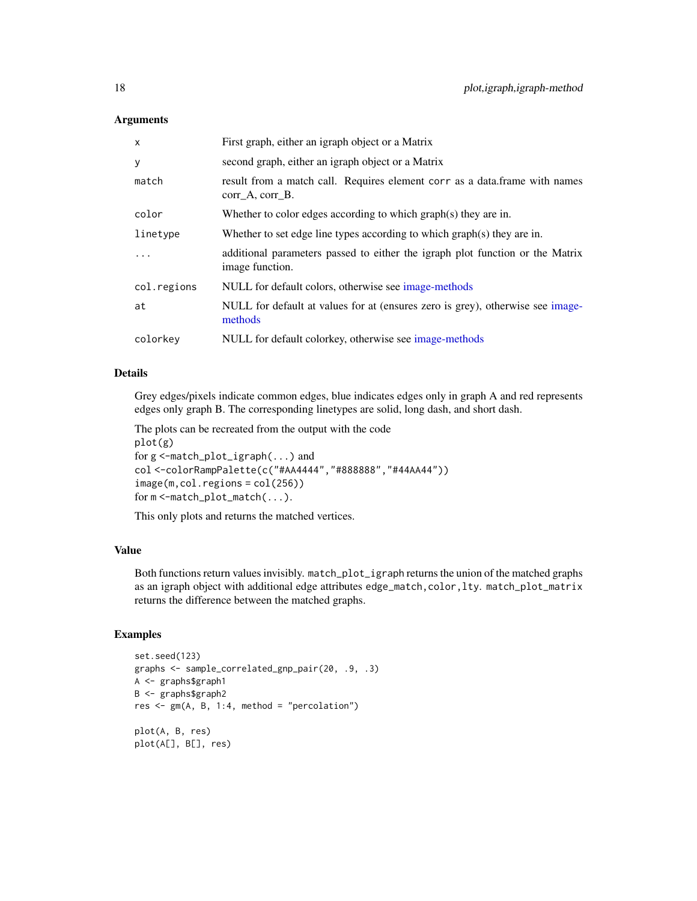#### <span id="page-17-0"></span>Arguments

| X           | First graph, either an igraph object or a Matrix                                                 |
|-------------|--------------------------------------------------------------------------------------------------|
| y           | second graph, either an igraph object or a Matrix                                                |
| match       | result from a match call. Requires element corr as a data frame with names<br>corr A, corr B.    |
| color       | Whether to color edges according to which graph(s) they are in.                                  |
| linetype    | Whether to set edge line types according to which graph(s) they are in.                          |
| $\ddots$ .  | additional parameters passed to either the igraph plot function or the Matrix<br>image function. |
| col.regions | NULL for default colors, otherwise see image-methods                                             |
| at          | NULL for default at values for at (ensures zero is grey), otherwise see image-<br>methods        |
| colorkey    | NULL for default colorkey, otherwise see image-methods                                           |

## Details

Grey edges/pixels indicate common edges, blue indicates edges only in graph A and red represents edges only graph B. The corresponding linetypes are solid, long dash, and short dash.

The plots can be recreated from the output with the code plot(g) for g <-match\_plot\_igraph(...) and col <-colorRampPalette(c("#AA4444","#888888","#44AA44")) image(m,col.regions = col(256)) for m <-match\_plot\_match(...).

This only plots and returns the matched vertices.

## Value

Both functions return values invisibly. match\_plot\_igraph returns the union of the matched graphs as an igraph object with additional edge attributes edge\_match,color,lty. match\_plot\_matrix returns the difference between the matched graphs.

```
set.seed(123)
graphs <- sample_correlated_gnp_pair(20, .9, .3)
A <- graphs$graph1
B <- graphs$graph2
res <- gm(A, B, 1:4, method = "percolation")
plot(A, B, res)
plot(A[], B[], res)
```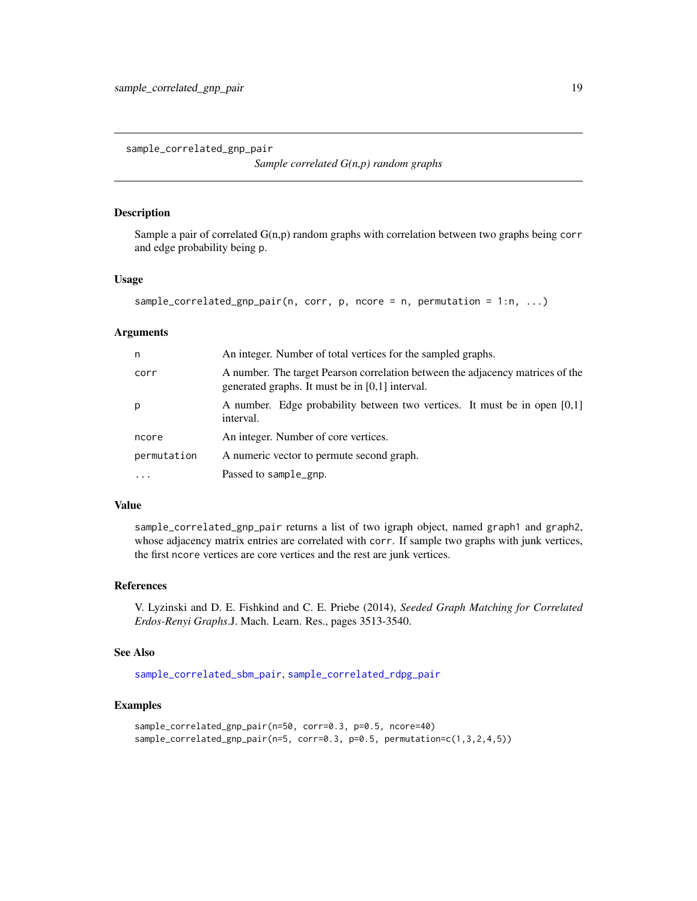<span id="page-18-1"></span><span id="page-18-0"></span>sample\_correlated\_gnp\_pair

*Sample correlated G(n,p) random graphs*

## Description

Sample a pair of correlated  $G(n,p)$  random graphs with correlation between two graphs being corr and edge probability being p.

#### Usage

```
sample_correlated_gnp_pair(n, corr, p, ncore = n, permutation = 1:n, ...)
```
#### Arguments

| n           | An integer. Number of total vertices for the sampled graphs.                                                                        |
|-------------|-------------------------------------------------------------------------------------------------------------------------------------|
| corr        | A number. The target Pearson correlation between the adjacency matrices of the<br>generated graphs. It must be in $[0,1]$ interval. |
| p           | A number. Edge probability between two vertices. It must be in open $[0,1]$<br>interval.                                            |
| ncore       | An integer. Number of core vertices.                                                                                                |
| permutation | A numeric vector to permute second graph.                                                                                           |
| $\ddotsc$   | Passed to sample_gnp.                                                                                                               |

## Value

sample\_correlated\_gnp\_pair returns a list of two igraph object, named graph1 and graph2, whose adjacency matrix entries are correlated with corr. If sample two graphs with junk vertices, the first ncore vertices are core vertices and the rest are junk vertices.

#### References

V. Lyzinski and D. E. Fishkind and C. E. Priebe (2014), *Seeded Graph Matching for Correlated Erdos-Renyi Graphs*.J. Mach. Learn. Res., pages 3513-3540.

## See Also

[sample\\_correlated\\_sbm\\_pair](#page-20-1), [sample\\_correlated\\_rdpg\\_pair](#page-19-1)

```
sample_correlated_gnp_pair(n=50, corr=0.3, p=0.5, ncore=40)
sample_correlated_gnp_pair(n=5, corr=0.3, p=0.5, permutation=c(1,3,2,4,5))
```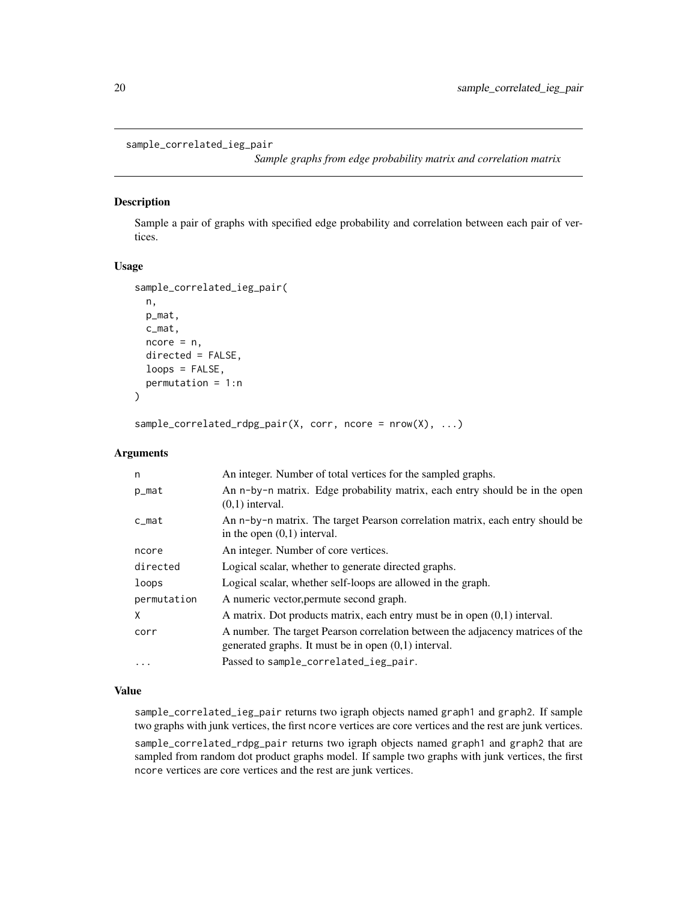```
sample_correlated_ieg_pair
```
*Sample graphs from edge probability matrix and correlation matrix*

## <span id="page-19-1"></span>Description

Sample a pair of graphs with specified edge probability and correlation between each pair of vertices.

#### Usage

```
sample_correlated_ieg_pair(
 n,
 p_mat,
 c_mat,
 ncore = n,
 directed = FALSE,
  loops = FALSE,
  permutation = 1:n
)
```
sample\_correlated\_rdpg\_pair(X, corr, ncore = nrow(X), ...)

#### Arguments

| n           | An integer. Number of total vertices for the sampled graphs.                                                                             |
|-------------|------------------------------------------------------------------------------------------------------------------------------------------|
| p_mat       | An n-by-n matrix. Edge probability matrix, each entry should be in the open<br>$(0,1)$ interval.                                         |
| c_mat       | An n-by-n matrix. The target Pearson correlation matrix, each entry should be<br>in the open $(0,1)$ interval.                           |
| ncore       | An integer. Number of core vertices.                                                                                                     |
| directed    | Logical scalar, whether to generate directed graphs.                                                                                     |
| loops       | Logical scalar, whether self-loops are allowed in the graph.                                                                             |
| permutation | A numeric vector, permute second graph.                                                                                                  |
| X           | A matrix. Dot products matrix, each entry must be in open $(0,1)$ interval.                                                              |
| corr        | A number. The target Pearson correlation between the adjacency matrices of the<br>generated graphs. It must be in open $(0,1)$ interval. |
| $\ddotsc$   | Passed to sample_correlated_ieg_pair.                                                                                                    |

#### Value

sample\_correlated\_ieg\_pair returns two igraph objects named graph1 and graph2. If sample two graphs with junk vertices, the first ncore vertices are core vertices and the rest are junk vertices. sample\_correlated\_rdpg\_pair returns two igraph objects named graph1 and graph2 that are

sampled from random dot product graphs model. If sample two graphs with junk vertices, the first ncore vertices are core vertices and the rest are junk vertices.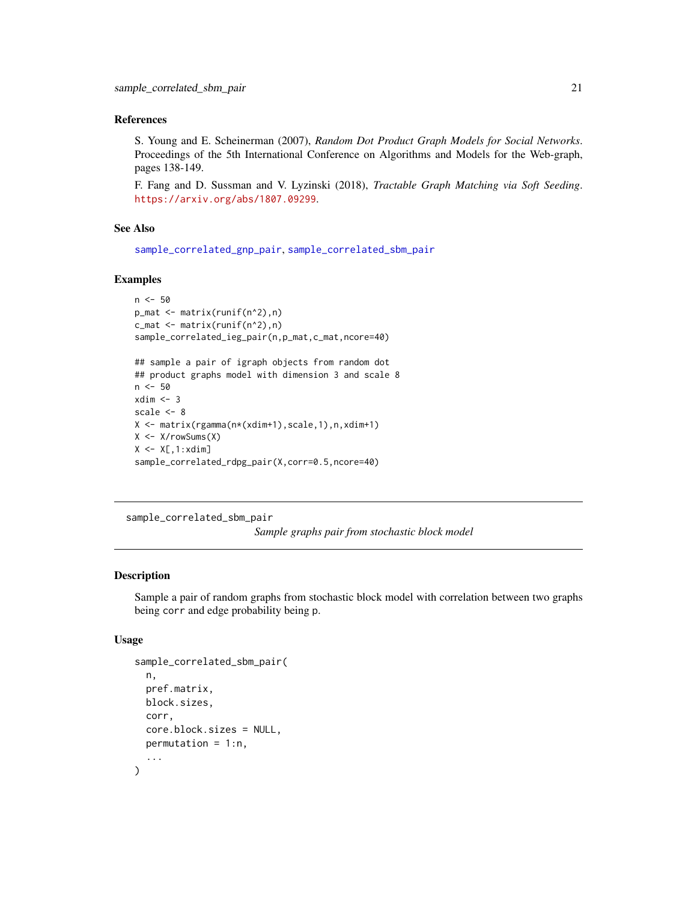## <span id="page-20-0"></span>References

S. Young and E. Scheinerman (2007), *Random Dot Product Graph Models for Social Networks*. Proceedings of the 5th International Conference on Algorithms and Models for the Web-graph, pages 138-149.

F. Fang and D. Sussman and V. Lyzinski (2018), *Tractable Graph Matching via Soft Seeding*. <https://arxiv.org/abs/1807.09299>.

#### See Also

[sample\\_correlated\\_gnp\\_pair](#page-18-1), [sample\\_correlated\\_sbm\\_pair](#page-20-1)

## Examples

```
n < -50p_mat <- matrix(runif(n^2),n)
c_mat <- matrix(runif(n^2),n)
sample_correlated_ieg_pair(n,p_mat,c_mat,ncore=40)
## sample a pair of igraph objects from random dot
## product graphs model with dimension 3 and scale 8
n < -50xdim < -3scale <- 8
X <- matrix(rgamma(n*(xdim+1),scale,1),n,xdim+1)
X <- X/rowSums(X)
X \leftarrow X[, 1:xdim]sample_correlated_rdpg_pair(X,corr=0.5,ncore=40)
```

```
sample_correlated_sbm_pair
```
*Sample graphs pair from stochastic block model*

## Description

Sample a pair of random graphs from stochastic block model with correlation between two graphs being corr and edge probability being p.

## Usage

```
sample_correlated_sbm_pair(
  n,
 pref.matrix,
 block.sizes,
 corr,
  core.block.sizes = NULL,
 permutation = 1:n,
  ...
)
```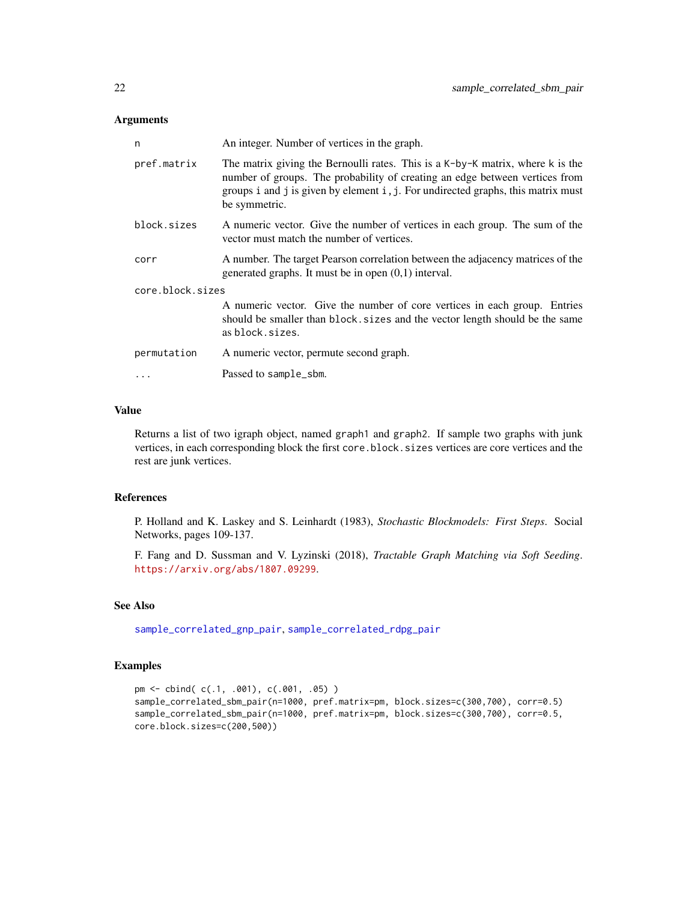#### <span id="page-21-0"></span>Arguments

| n                | An integer. Number of vertices in the graph.                                                                                                                                                                                                                       |
|------------------|--------------------------------------------------------------------------------------------------------------------------------------------------------------------------------------------------------------------------------------------------------------------|
| pref.matrix      | The matrix giving the Bernoulli rates. This is a K-by-K matrix, where k is the<br>number of groups. The probability of creating an edge between vertices from<br>groups i and j is given by element i, j. For undirected graphs, this matrix must<br>be symmetric. |
| block.sizes      | A numeric vector. Give the number of vertices in each group. The sum of the<br>vector must match the number of vertices.                                                                                                                                           |
| corr             | A number. The target Pearson correlation between the adjacency matrices of the<br>generated graphs. It must be in open $(0,1)$ interval.                                                                                                                           |
| core.block.sizes |                                                                                                                                                                                                                                                                    |
|                  | A numeric vector. Give the number of core vertices in each group. Entries<br>should be smaller than block. sizes and the vector length should be the same<br>as block.sizes.                                                                                       |
| permutation      | A numeric vector, permute second graph.                                                                                                                                                                                                                            |
| $\ddots$         | Passed to sample_sbm.                                                                                                                                                                                                                                              |
|                  |                                                                                                                                                                                                                                                                    |

## Value

Returns a list of two igraph object, named graph1 and graph2. If sample two graphs with junk vertices, in each corresponding block the first core.block.sizes vertices are core vertices and the rest are junk vertices.

#### References

P. Holland and K. Laskey and S. Leinhardt (1983), *Stochastic Blockmodels: First Steps*. Social Networks, pages 109-137.

F. Fang and D. Sussman and V. Lyzinski (2018), *Tractable Graph Matching via Soft Seeding*. <https://arxiv.org/abs/1807.09299>.

## See Also

[sample\\_correlated\\_gnp\\_pair](#page-18-1), [sample\\_correlated\\_rdpg\\_pair](#page-19-1)

```
pm <- cbind( c(.1, .001), c(.001, .05) )
sample_correlated_sbm_pair(n=1000, pref.matrix=pm, block.sizes=c(300,700), corr=0.5)
sample_correlated_sbm_pair(n=1000, pref.matrix=pm, block.sizes=c(300,700), corr=0.5,
core.block.sizes=c(200,500))
```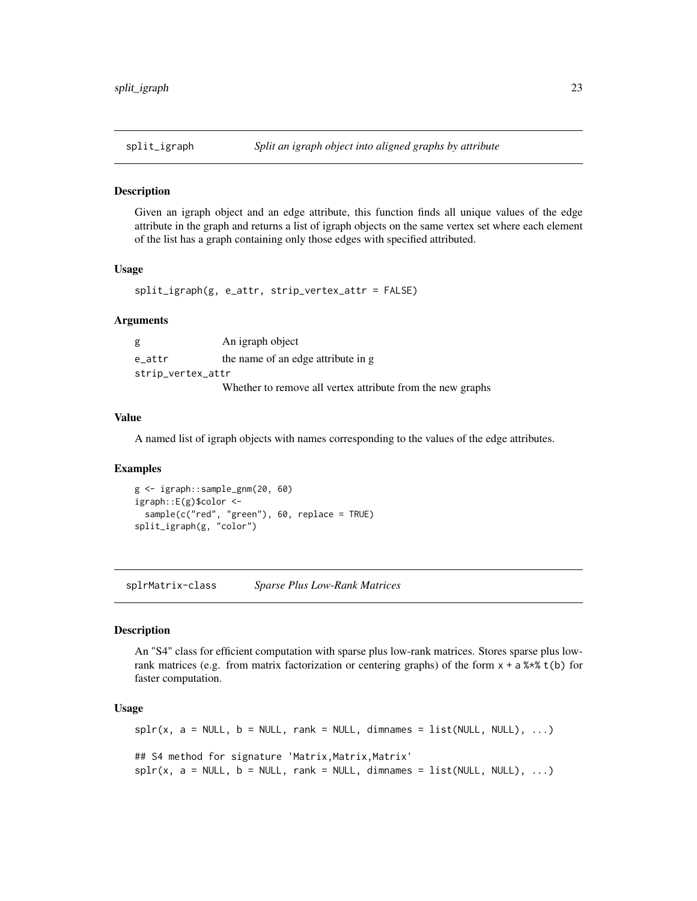<span id="page-22-0"></span>

#### Description

Given an igraph object and an edge attribute, this function finds all unique values of the edge attribute in the graph and returns a list of igraph objects on the same vertex set where each element of the list has a graph containing only those edges with specified attributed.

#### Usage

split\_igraph(g, e\_attr, strip\_vertex\_attr = FALSE)

#### Arguments

g An igraph object e\_attr the name of an edge attribute in g strip\_vertex\_attr Whether to remove all vertex attribute from the new graphs

## Value

A named list of igraph objects with names corresponding to the values of the edge attributes.

#### Examples

```
g <- igraph::sample_gnm(20, 60)
igraph::E(g)$color <-
 sample(c("red", "green"), 60, replace = TRUE)
split_igraph(g, "color")
```
splrMatrix-class *Sparse Plus Low-Rank Matrices*

#### Description

An "S4" class for efficient computation with sparse plus low-rank matrices. Stores sparse plus lowrank matrices (e.g. from matrix factorization or centering graphs) of the form  $x + a$   $x * x$  t(b) for faster computation.

#### Usage

```
\text{splr}(x, a = \text{NULL}, b = \text{NULL}, \text{rank} = \text{NULL}, \text{dimnames} = \text{list}(\text{NULL}, \text{NULL}), \dots)## S4 method for signature 'Matrix, Matrix, Matrix'
spir(x, a = NULL, b = NULL, rank = NULL, dimnames = list(NULL, NULL), ...)
```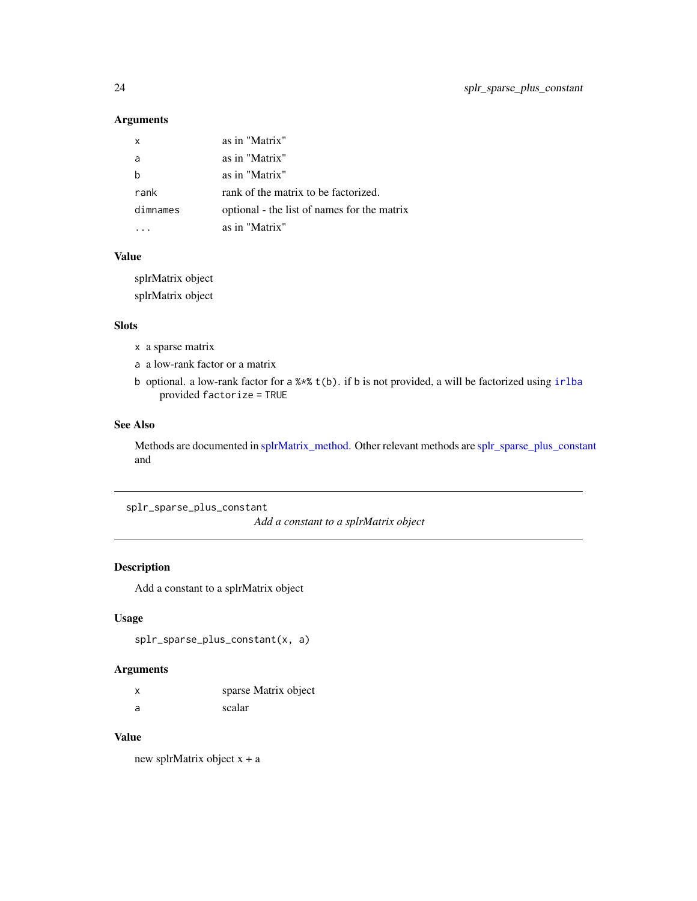## <span id="page-23-0"></span>Arguments

| x        | as in "Matrix"                              |
|----------|---------------------------------------------|
| a        | as in "Matrix"                              |
| h        | as in "Matrix"                              |
| rank     | rank of the matrix to be factorized.        |
| dimnames | optional - the list of names for the matrix |
|          | as in "Matrix"                              |

## Value

splrMatrix object splrMatrix object

## Slots

- x a sparse matrix
- a a low-rank factor or a matrix
- b optional. a low-rank factor for a %\*% t(b). if b is not provided, a will be factorized using [irlba](#page-0-0) provided factorize = TRUE

## See Also

Methods are documented in [splrMatrix\\_method.](#page-0-0) Other relevant methods are [splr\\_sparse\\_plus\\_constant](#page-23-1) and

<span id="page-23-1"></span>splr\_sparse\_plus\_constant

*Add a constant to a splrMatrix object*

## Description

Add a constant to a splrMatrix object

## Usage

splr\_sparse\_plus\_constant(x, a)

## Arguments

| $\boldsymbol{\mathsf{x}}$ | sparse Matrix object |
|---------------------------|----------------------|
| a                         | scalar               |

## Value

new splrMatrix object x + a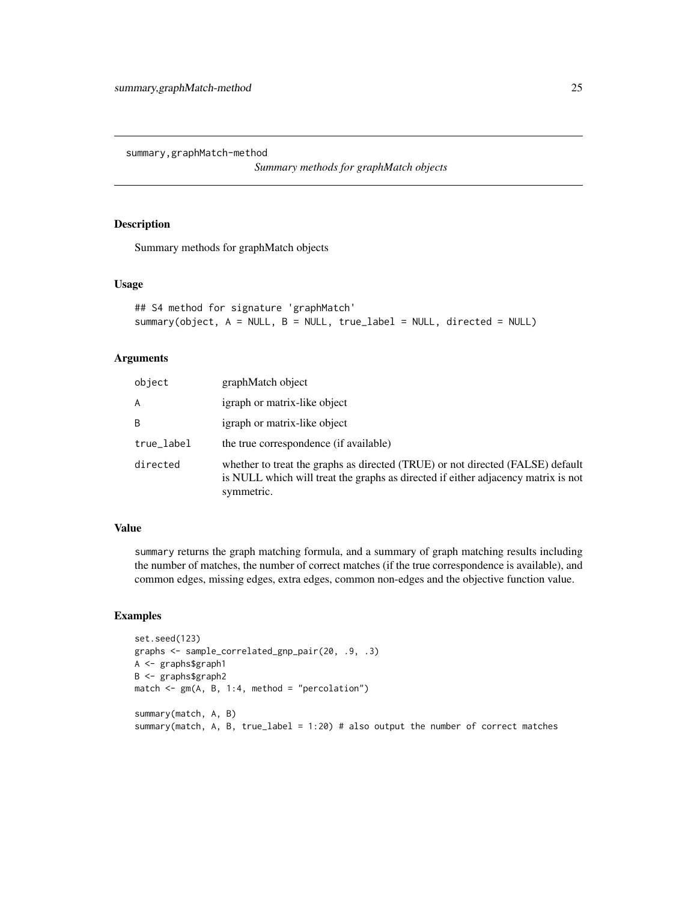<span id="page-24-0"></span>summary,graphMatch-method

*Summary methods for graphMatch objects*

## Description

Summary methods for graphMatch objects

#### Usage

```
## S4 method for signature 'graphMatch'
summary(object, A = NULL, B = NULL, true_label = NULL, directed = NULL)
```
## Arguments

| object     | graphMatch object                                                                                                                                                                 |
|------------|-----------------------------------------------------------------------------------------------------------------------------------------------------------------------------------|
| A          | igraph or matrix-like object                                                                                                                                                      |
| B          | igraph or matrix-like object                                                                                                                                                      |
| true_label | the true correspondence (if available)                                                                                                                                            |
| directed   | whether to treat the graphs as directed (TRUE) or not directed (FALSE) default<br>is NULL which will treat the graphs as directed if either adjacency matrix is not<br>symmetric. |

#### Value

summary returns the graph matching formula, and a summary of graph matching results including the number of matches, the number of correct matches (if the true correspondence is available), and common edges, missing edges, extra edges, common non-edges and the objective function value.

```
set.seed(123)
graphs <- sample_correlated_gnp_pair(20, .9, .3)
A <- graphs$graph1
B <- graphs$graph2
match <- gm(A, B, 1:4, method = "percolation")
summary(match, A, B)
summary(match, A, B, true_label = 1:20) # also output the number of correct matches
```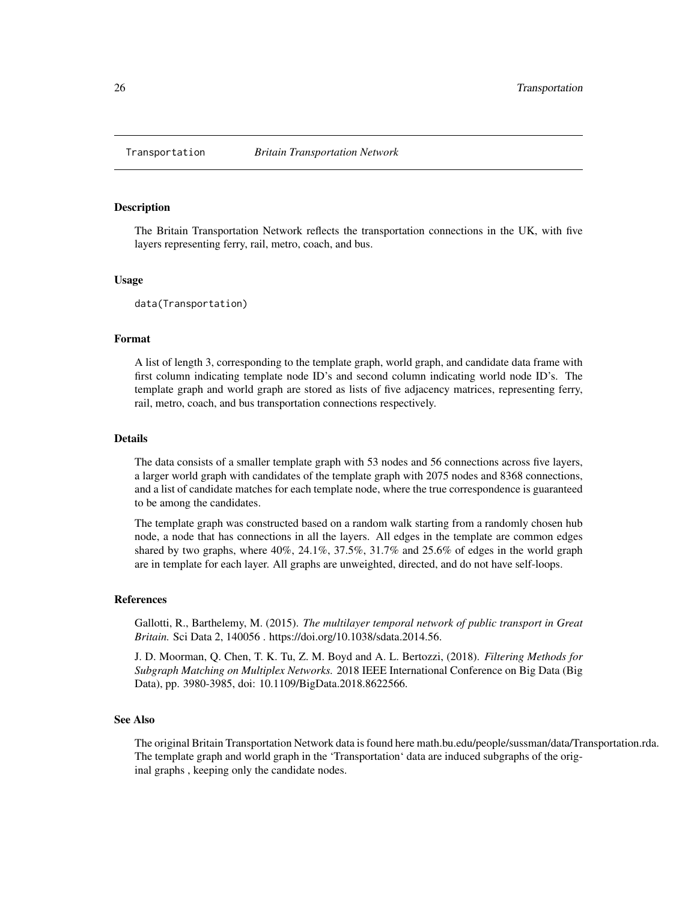<span id="page-25-0"></span>

#### Description

The Britain Transportation Network reflects the transportation connections in the UK, with five layers representing ferry, rail, metro, coach, and bus.

#### Usage

data(Transportation)

#### Format

A list of length 3, corresponding to the template graph, world graph, and candidate data frame with first column indicating template node ID's and second column indicating world node ID's. The template graph and world graph are stored as lists of five adjacency matrices, representing ferry, rail, metro, coach, and bus transportation connections respectively.

## Details

The data consists of a smaller template graph with 53 nodes and 56 connections across five layers, a larger world graph with candidates of the template graph with 2075 nodes and 8368 connections, and a list of candidate matches for each template node, where the true correspondence is guaranteed to be among the candidates.

The template graph was constructed based on a random walk starting from a randomly chosen hub node, a node that has connections in all the layers. All edges in the template are common edges shared by two graphs, where  $40\%, 24.1\%, 37.5\%, 31.7\%$  and  $25.6\%$  of edges in the world graph are in template for each layer. All graphs are unweighted, directed, and do not have self-loops.

#### References

Gallotti, R., Barthelemy, M. (2015). *The multilayer temporal network of public transport in Great Britain.* Sci Data 2, 140056 . https://doi.org/10.1038/sdata.2014.56.

J. D. Moorman, Q. Chen, T. K. Tu, Z. M. Boyd and A. L. Bertozzi, (2018). *Filtering Methods for Subgraph Matching on Multiplex Networks.* 2018 IEEE International Conference on Big Data (Big Data), pp. 3980-3985, doi: 10.1109/BigData.2018.8622566.

#### See Also

The original Britain Transportation Network data is found here math.bu.edu/people/sussman/data/Transportation.rda. The template graph and world graph in the 'Transportation' data are induced subgraphs of the original graphs , keeping only the candidate nodes.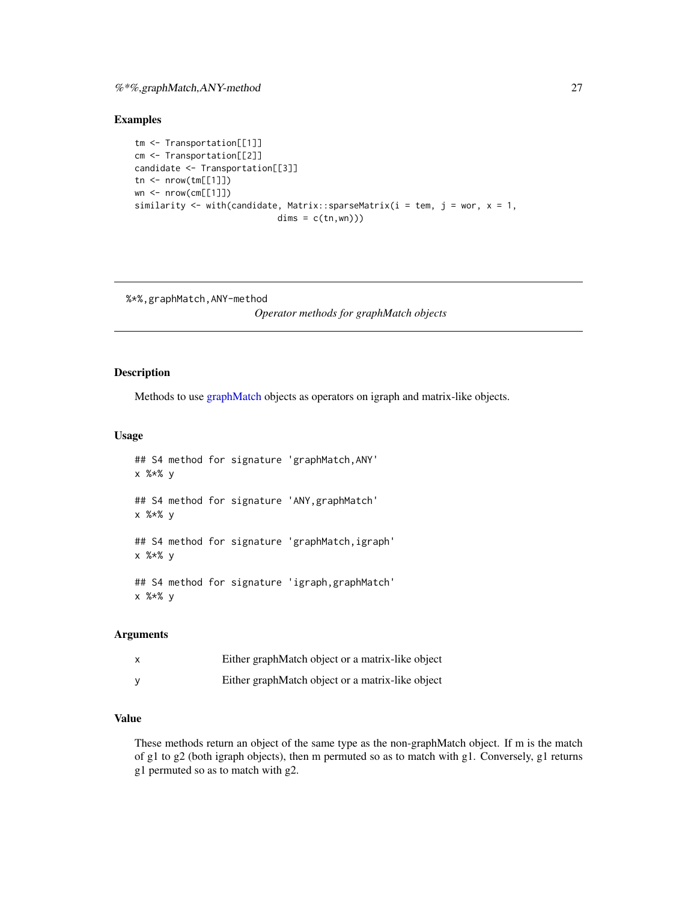## <span id="page-26-0"></span>%\*%,graphMatch,ANY-method 27

#### Examples

```
tm <- Transportation[[1]]
cm <- Transportation[[2]]
candidate <- Transportation[[3]]
tn < - nrow(tm[[1]])wn <- nrow(cm[[1]])
similarity <- with(candidate, Matrix::sparseMatrix(i = tem, j = wor, x = 1,
                            dims = c(tn, wn))
```
%\*%,graphMatch,ANY-method

*Operator methods for graphMatch objects*

## Description

Methods to use [graphMatch](#page-11-1) objects as operators on igraph and matrix-like objects.

#### Usage

```
## S4 method for signature 'graphMatch,ANY'
x %*% y
## S4 method for signature 'ANY,graphMatch'
x %*% y
## S4 method for signature 'graphMatch,igraph'
x %*% y
## S4 method for signature 'igraph,graphMatch'
x %*% y
```
## Arguments

| Either graphMatch object or a matrix-like object |
|--------------------------------------------------|
| Either graphMatch object or a matrix-like object |

## Value

These methods return an object of the same type as the non-graphMatch object. If m is the match of g1 to g2 (both igraph objects), then m permuted so as to match with g1. Conversely, g1 returns g1 permuted so as to match with g2.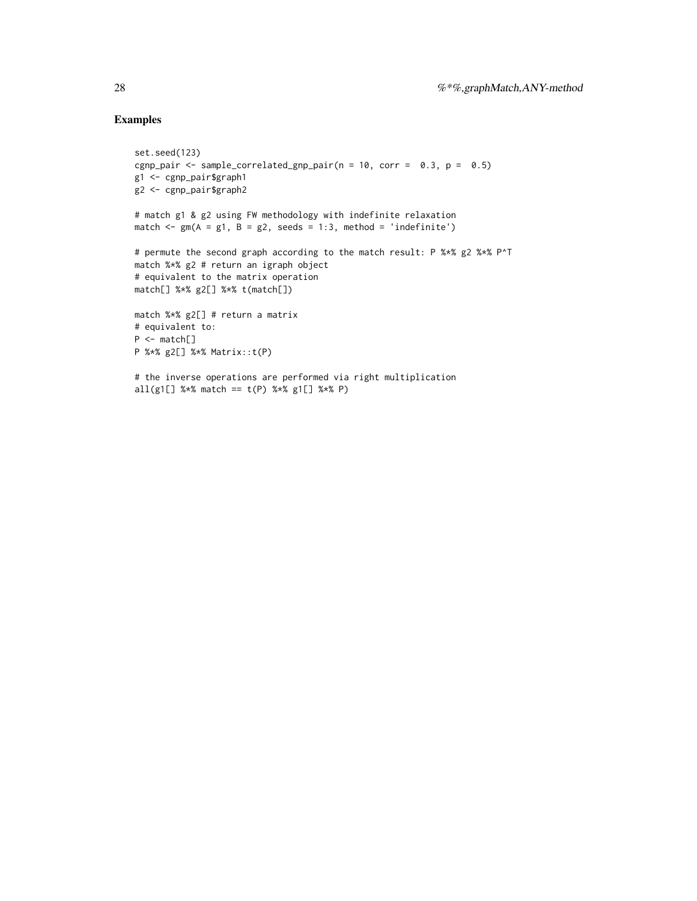## Examples

```
set.seed(123)
cgnp_pair <- sample_correlated_gnp_pair(n = 10, corr = 0.3, p = 0.5)
g1 <- cgnp_pair$graph1
g2 <- cgnp_pair$graph2
# match g1 & g2 using FW methodology with indefinite relaxation
match \leq gm(A = g1, B = g2, seeds = 1:3, method = 'indefinite')
# permute the second graph according to the match result: P %*% g2 %*% P^T
match %*% g2 # return an igraph object
# equivalent to the matrix operation
match[] %*% g2[] %*% t(match[])
match %*% g2[] # return a matrix
# equivalent to:
P <- match[]
P %*% g2[] %*% Matrix::t(P)
# the inverse operations are performed via right multiplication
```
all(g1[] %\*% match ==  $t(P)$  %\*% g1[] %\*% P)